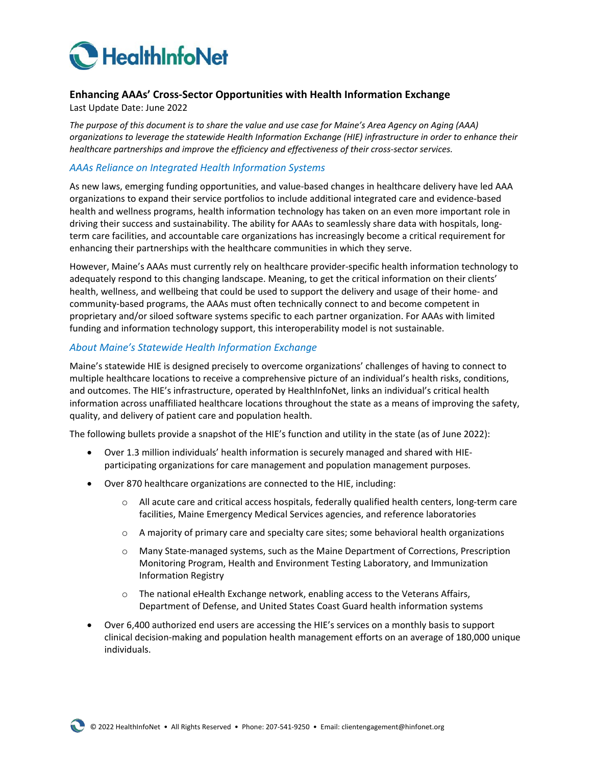

## **Enhancing AAAs' Cross-Sector Opportunities with Health Information Exchange**

Last Update Date: June 2022

*The purpose of this document is to share the value and use case for Maine's Area Agency on Aging (AAA) organizations to leverage the statewide Health Information Exchange (HIE) infrastructure in order to enhance their healthcare partnerships and improve the efficiency and effectiveness of their cross-sector services.*

### *AAAs Reliance on Integrated Health Information Systems*

As new laws, emerging funding opportunities, and value-based changes in healthcare delivery have led AAA organizations to expand their service portfolios to include additional integrated care and evidence-based health and wellness programs, health information technology has taken on an even more important role in driving their success and sustainability. The ability for AAAs to seamlessly share data with hospitals, longterm care facilities, and accountable care organizations has increasingly become a critical requirement for enhancing their partnerships with the healthcare communities in which they serve.

However, Maine's AAAs must currently rely on healthcare provider-specific health information technology to adequately respond to this changing landscape. Meaning, to get the critical information on their clients' health, wellness, and wellbeing that could be used to support the delivery and usage of their home- and community-based programs, the AAAs must often technically connect to and become competent in proprietary and/or siloed software systems specific to each partner organization. For AAAs with limited funding and information technology support, this interoperability model is not sustainable.

#### *About Maine's Statewide Health Information Exchange*

Maine's statewide HIE is designed precisely to overcome organizations' challenges of having to connect to multiple healthcare locations to receive a comprehensive picture of an individual's health risks, conditions, and outcomes. The HIE's infrastructure, operated by HealthInfoNet, links an individual's critical health information across unaffiliated healthcare locations throughout the state as a means of improving the safety, quality, and delivery of patient care and population health.

The following bullets provide a snapshot of the HIE's function and utility in the state (as of June 2022):

- Over 1.3 million individuals' health information is securely managed and shared with HIEparticipating organizations for care management and population management purposes.
- Over 870 healthcare organizations are connected to the HIE, including:
	- $\circ$  All acute care and critical access hospitals, federally qualified health centers, long-term care facilities, Maine Emergency Medical Services agencies, and reference laboratories
	- $\circ$  A majority of primary care and specialty care sites; some behavioral health organizations
	- o Many State-managed systems, such as the Maine Department of Corrections, Prescription Monitoring Program, Health and Environment Testing Laboratory, and Immunization Information Registry
	- $\circ$  The national eHealth Exchange network, enabling access to the Veterans Affairs, Department of Defense, and United States Coast Guard health information systems
- Over 6,400 authorized end users are accessing the HIE's services on a monthly basis to support clinical decision-making and population health management efforts on an average of 180,000 unique individuals.